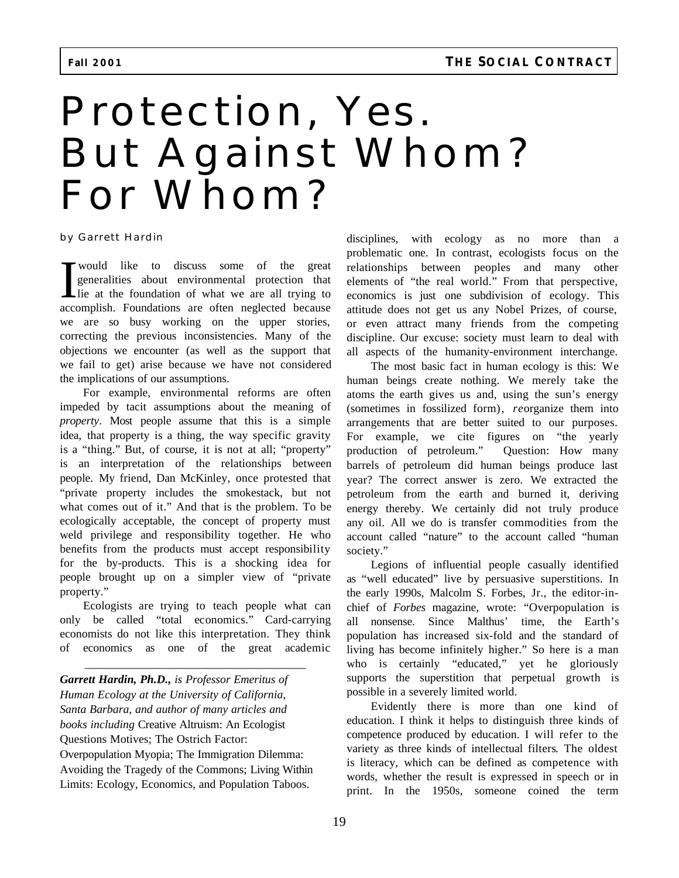## Protection, Yes. But Against Whom? For Whom?

by Garrett Hardin

I would like to discuss some of the great<br>generalities about environmental protection that<br>lie at the foundation of what we are all trying to<br>accomplish. Foundations are often producted because would like to discuss some of the great generalities about environmental protection that accomplish. Foundations are often neglected because we are so busy working on the upper stories, correcting the previous inconsistencies. Many of the objections we encounter (as well as the support that we fail to get) arise because we have not considered the implications of our assumptions.

For example, environmental reforms are often impeded by tacit assumptions about the meaning of *property*. Most people assume that this is a simple idea, that property is a thing, the way specific gravity is a "thing." But, of course, it is not at all; "property" is an interpretation of the relationships between people. My friend, Dan McKinley, once protested that "private property includes the smokestack, but not what comes out of it." And that is the problem. To be ecologically acceptable, the concept of property must weld privilege and responsibility together. He who benefits from the products must accept responsibility for the by-products. This is a shocking idea for people brought up on a simpler view of "private property."

Ecologists are trying to teach people what can only be called "total economics." Card-carrying economists do not like this interpretation. They think of economics as one of the great academic

\_\_\_\_\_\_\_\_\_\_\_\_\_\_\_\_\_\_\_\_\_\_\_\_\_\_\_\_\_\_\_\_\_\_\_\_\_\_

*Garrett Hardin, Ph.D., is Professor Emeritus of Human Ecology at the University of California, Santa Barbara, and author of many articles and books including* Creative Altruism: An Ecologist Questions Motives; The Ostrich Factor: Overpopulation Myopia; The Immigration Dilemma: Avoiding the Tragedy of the Commons; Living Within Limits: Ecology, Economics, and Population Taboos.

disciplines, with ecology as no more than a problematic one. In contrast, ecologists focus on the relationships between peoples and many other elements of "the real world." From that perspective, economics is just one subdivision of ecology. This attitude does not get us any Nobel Prizes, of course, or even attract many friends from the competing discipline. Our excuse: society must learn to deal with all aspects of the humanity-environment interchange.

The most basic fact in human ecology is this: We human beings create nothing. We merely take the atoms the earth gives us and, using the sun's energy (sometimes in fossilized form), *re*organize them into arrangements that are better suited to our purposes. For example, we cite figures on "the yearly production of petroleum." Question: How many barrels of petroleum did human beings produce last year? The correct answer is zero. We extracted the petroleum from the earth and burned it, deriving energy thereby. We certainly did not truly produce any oil. All we do is transfer commodities from the account called "nature" to the account called "human society."

Legions of influential people casually identified as "well educated" live by persuasive superstitions. In the early 1990s, Malcolm S. Forbes, Jr., the editor-inchief of *Forbes* magazine, wrote: "Overpopulation is all nonsense. Since Malthus' time, the Earth's population has increased six-fold and the standard of living has become infinitely higher." So here is a man who is certainly "educated," yet he gloriously supports the superstition that perpetual growth is possible in a severely limited world.

Evidently there is more than one kind of education. I think it helps to distinguish three kinds of competence produced by education. I will refer to the variety as three kinds of intellectual filters. The oldest is literacy, which can be defined as competence with words, whether the result is expressed in speech or in print. In the 1950s, someone coined the term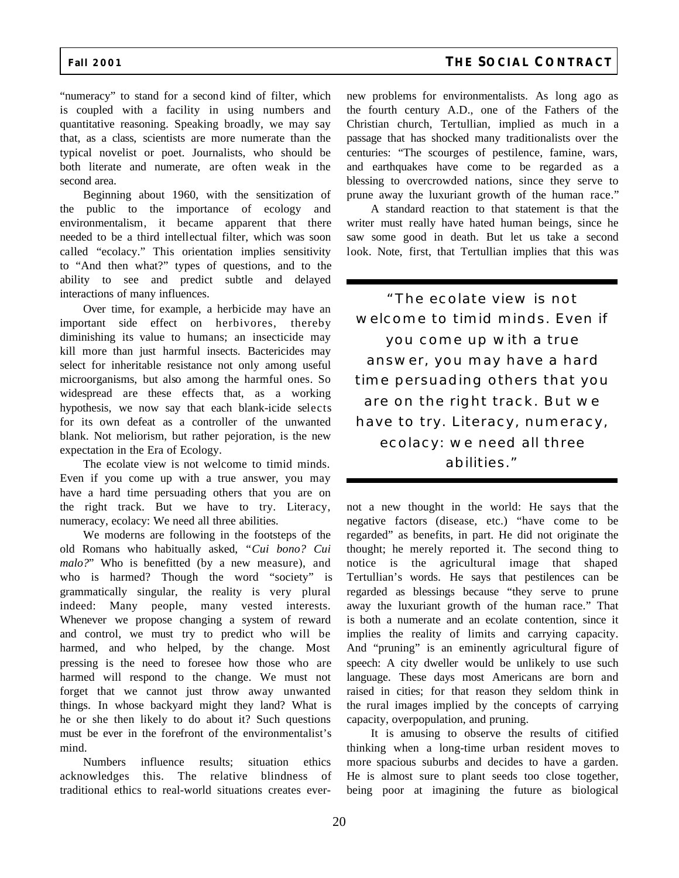"numeracy" to stand for a second kind of filter, which is coupled with a facility in using numbers and quantitative reasoning. Speaking broadly, we may say that, as a class, scientists are more numerate than the typical novelist or poet. Journalists, who should be both literate and numerate, are often weak in the second area.

Beginning about 1960, with the sensitization of the public to the importance of ecology and environmentalism, it became apparent that there needed to be a third intellectual filter, which was soon called "ecolacy." This orientation implies sensitivity to "And then what?" types of questions, and to the ability to see and predict subtle and delayed interactions of many influences.

Over time, for example, a herbicide may have an important side effect on herbivores, thereby diminishing its value to humans; an insecticide may kill more than just harmful insects. Bactericides may select for inheritable resistance not only among useful microorganisms, but also among the harmful ones. So widespread are these effects that, as a working hypothesis, we now say that each blank-icide selects for its own defeat as a controller of the unwanted blank. Not meliorism, but rather pejoration, is the new expectation in the Era of Ecology.

The ecolate view is not welcome to timid minds. Even if you come up with a true answer, you may have a hard time persuading others that you are on the right track. But we have to try. Literacy, numeracy, ecolacy: We need all three abilities.

We moderns are following in the footsteps of the old Romans who habitually asked, "*Cui bono? Cui malo?*" Who is benefitted (by a new measure), and who is harmed? Though the word "society" is grammatically singular, the reality is very plural indeed: Many people, many vested interests. Whenever we propose changing a system of reward and control, we must try to predict who will be harmed, and who helped, by the change. Most pressing is the need to foresee how those who are harmed will respond to the change. We must not forget that we cannot just throw away unwanted things. In whose backyard might they land? What is he or she then likely to do about it? Such questions must be ever in the forefront of the environmentalist's mind.

Numbers influence results; situation ethics acknowledges this. The relative blindness of traditional ethics to real-world situations creates evernew problems for environmentalists. As long ago as the fourth century A.D., one of the Fathers of the Christian church, Tertullian, implied as much in a passage that has shocked many traditionalists over the centuries: "The scourges of pestilence, famine, wars, and earthquakes have come to be regarded as a blessing to overcrowded nations, since they serve to prune away the luxuriant growth of the human race."

A standard reaction to that statement is that the writer must really have hated human beings, since he saw some good in death. But let us take a second look. Note, first, that Tertullian implies that this was

*"The ecolate view is not welcome to timid minds. Even if you come up with a true answer, you may have a hard time persuading others that you are on the right track. But we have to try. Literacy, numeracy, ecolacy: we need all three abilities."*

not a new thought in the world: He says that the negative factors (disease, etc.) "have come to be regarded" as benefits, in part. He did not originate the thought; he merely reported it. The second thing to notice is the agricultural image that shaped Tertullian's words. He says that pestilences can be regarded as blessings because "they serve to prune away the luxuriant growth of the human race." That is both a numerate and an ecolate contention, since it implies the reality of limits and carrying capacity. And "pruning" is an eminently agricultural figure of speech: A city dweller would be unlikely to use such language. These days most Americans are born and raised in cities; for that reason they seldom think in the rural images implied by the concepts of carrying capacity, overpopulation, and pruning.

It is amusing to observe the results of citified thinking when a long-time urban resident moves to more spacious suburbs and decides to have a garden. He is almost sure to plant seeds too close together, being poor at imagining the future as biological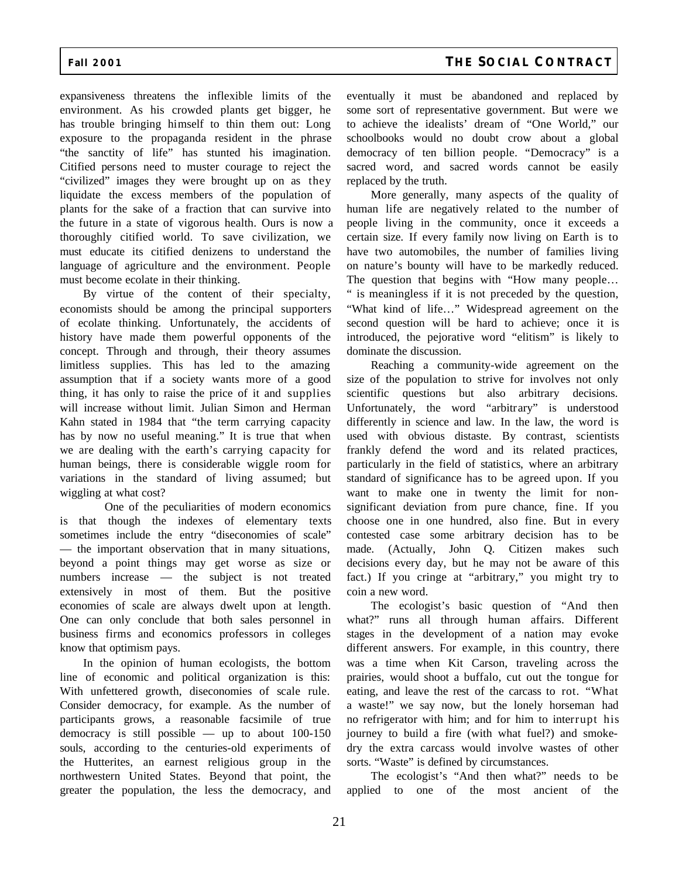expansiveness threatens the inflexible limits of the environment. As his crowded plants get bigger, he has trouble bringing himself to thin them out: Long exposure to the propaganda resident in the phrase "the sanctity of life" has stunted his imagination. Citified persons need to muster courage to reject the "civilized" images they were brought up on as they liquidate the excess members of the population of plants for the sake of a fraction that can survive into the future in a state of vigorous health. Ours is now a thoroughly citified world. To save civilization, we must educate its citified denizens to understand the language of agriculture and the environment. People must become ecolate in their thinking.

By virtue of the content of their specialty, economists should be among the principal supporters of ecolate thinking. Unfortunately, the accidents of history have made them powerful opponents of the concept. Through and through, their theory assumes limitless supplies. This has led to the amazing assumption that if a society wants more of a good thing, it has only to raise the price of it and supplies will increase without limit. Julian Simon and Herman Kahn stated in 1984 that "the term carrying capacity has by now no useful meaning." It is true that when we are dealing with the earth's carrying capacity for human beings, there is considerable wiggle room for variations in the standard of living assumed; but wiggling at what cost?

One of the peculiarities of modern economics is that though the indexes of elementary texts sometimes include the entry "diseconomies of scale" — the important observation that in many situations, beyond a point things may get worse as size or numbers increase — the subject is not treated extensively in most of them. But the positive economies of scale are always dwelt upon at length. One can only conclude that both sales personnel in business firms and economics professors in colleges know that optimism pays.

In the opinion of human ecologists, the bottom line of economic and political organization is this: With unfettered growth, diseconomies of scale rule. Consider democracy, for example. As the number of participants grows, a reasonable facsimile of true democracy is still possible — up to about 100-150 souls, according to the centuries-old experiments of the Hutterites, an earnest religious group in the northwestern United States. Beyond that point, the greater the population, the less the democracy, and

eventually it must be abandoned and replaced by some sort of representative government. But were we to achieve the idealists' dream of "One World," our schoolbooks would no doubt crow about a global democracy of ten billion people. "Democracy" is a sacred word, and sacred words cannot be easily replaced by the truth.

More generally, many aspects of the quality of human life are negatively related to the number of people living in the community, once it exceeds a certain size. If every family now living on Earth is to have two automobiles, the number of families living on nature's bounty will have to be markedly reduced. The question that begins with "How many people… " is meaningless if it is not preceded by the question, "What kind of life…" Widespread agreement on the second question will be hard to achieve; once it is introduced, the pejorative word "elitism" is likely to dominate the discussion.

Reaching a community-wide agreement on the size of the population to strive for involves not only scientific questions but also arbitrary decisions. Unfortunately, the word "arbitrary" is understood differently in science and law. In the law, the word is used with obvious distaste. By contrast, scientists frankly defend the word and its related practices, particularly in the field of statistics, where an arbitrary standard of significance has to be agreed upon. If you want to make one in twenty the limit for nonsignificant deviation from pure chance, fine. If you choose one in one hundred, also fine. But in every contested case some arbitrary decision has to be made. (Actually, John Q. Citizen makes such decisions every day, but he may not be aware of this fact.) If you cringe at "arbitrary," you might try to coin a new word.

The ecologist's basic question of "And then what?" runs all through human affairs. Different stages in the development of a nation may evoke different answers. For example, in this country, there was a time when Kit Carson, traveling across the prairies, would shoot a buffalo, cut out the tongue for eating, and leave the rest of the carcass to rot. "What a waste!" we say now, but the lonely horseman had no refrigerator with him; and for him to interrupt his journey to build a fire (with what fuel?) and smokedry the extra carcass would involve wastes of other sorts. "Waste" is defined by circumstances.

The ecologist's "And then what?" needs to be applied to one of the most ancient of the